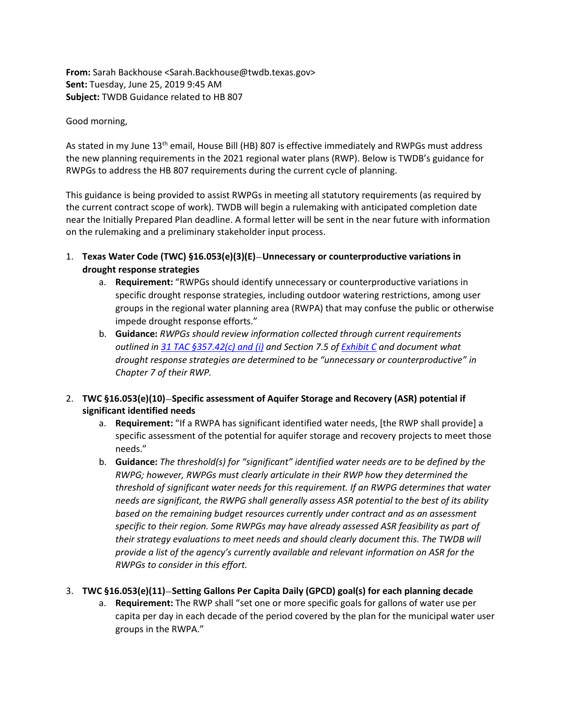**From:** Sarah Backhouse <Sarah.Backhouse@twdb.texas.gov> **Sent:** Tuesday, June 25, 2019 9:45 AM **Subject:** TWDB Guidance related to HB 807

### Good morning,

As stated in my June 13<sup>th</sup> email, House Bill (HB) 807 is effective immediately and RWPGs must address the new planning requirements in the 2021 regional water plans (RWP). Below is TWDB's guidance for RWPGs to address the HB 807 requirements during the current cycle of planning.

This guidance is being provided to assist RWPGs in meeting all statutory requirements (as required by the current contract scope of work). TWDB will begin a rulemaking with anticipated completion date near the Initially Prepared Plan deadline. A formal letter will be sent in the near future with information on the rulemaking and a preliminary stakeholder input process.

- 1. **Texas Water Code (TWC) §16.053(e)(3)(E)**—**Unnecessary or counterproductive variations in drought response strategies**
	- a. **Requirement:** "RWPGs should identify unnecessary or counterproductive variations in specific drought response strategies, including outdoor watering restrictions, among user groups in the regional water planning area (RWPA) that may confuse the public or otherwise impede drought response efforts."
	- b. **Guidance:** *RWPGs should review information collected through current requirements outlined in [31 TAC §357.42\(c\) and \(i\)](https://texreg.sos.state.tx.us/public/readtac$ext.TacPage?sl=R&app=9&p_dir=&p_rloc=&p_tloc=&p_ploc=&pg=1&p_tac=&ti=31&pt=10&ch=357&rl=42) and Section 7.5 o[f Exhibit C](http://www.twdb.texas.gov/waterplanning/rwp/planningdocu/2021/doc/current_docs/contract_docs/2ndAmendedExhibitC.pdf?d=5014.600000111386) and document what drought response strategies are determined to be "unnecessary or counterproductive" in Chapter 7 of their RWP.*

## 2. **TWC §16.053(e)(10)**—**Specific assessment of Aquifer Storage and Recovery (ASR) potential if significant identified needs**

- a. **Requirement:** "If a RWPA has significant identified water needs, [the RWP shall provide] a specific assessment of the potential for aquifer storage and recovery projects to meet those needs."
- b. **Guidance:** *The threshold(s) for "significant" identified water needs are to be defined by the RWPG; however, RWPGs must clearly articulate in their RWP how they determined the threshold of significant water needs for this requirement. If an RWPG determines that water needs are significant, the RWPG shall generally assess ASR potential to the best of its ability based on the remaining budget resources currently under contract and as an assessment specific to their region. Some RWPGs may have already assessed ASR feasibility as part of their strategy evaluations to meet needs and should clearly document this. The TWDB will provide a list of the agency's currently available and relevant information on ASR for the RWPGs to consider in this effort.*

## 3. **TWC §16.053(e)(11)**—**Setting Gallons Per Capita Daily (GPCD) goal(s) for each planning decade**

a. **Requirement:** The RWP shall "set one or more specific goals for gallons of water use per capita per day in each decade of the period covered by the plan for the municipal water user groups in the RWPA."